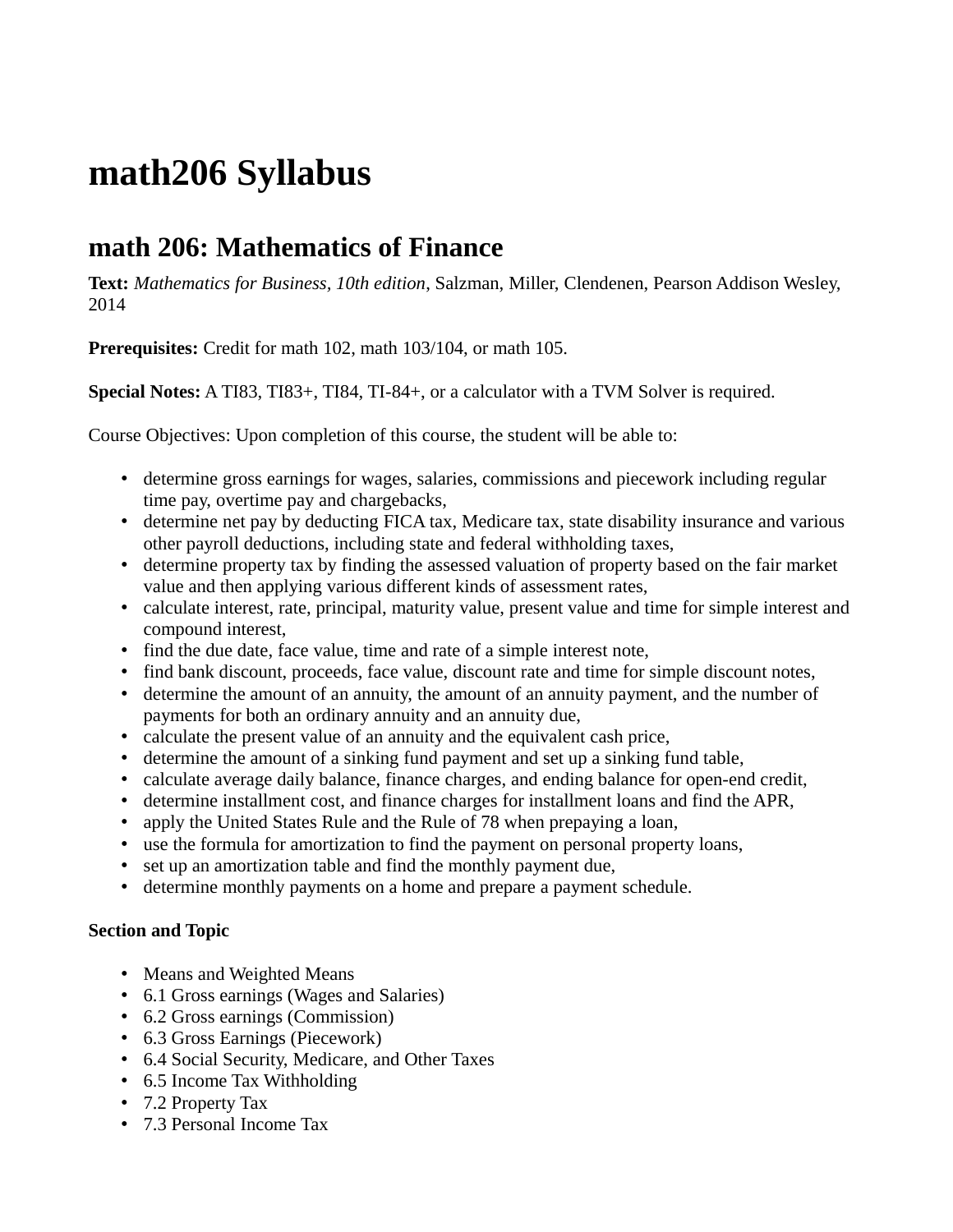## **math206 Syllabus**

## **math 206: Mathematics of Finance**

**Text:** *Mathematics for Business, 10th edition*, Salzman, Miller, Clendenen, Pearson Addison Wesley, 2014

**Prerequisites:** Credit for math 102, math 103/104, or math 105.

**Special Notes:** A TI83, TI83+, TI84, TI-84+, or a calculator with a TVM Solver is required.

Course Objectives: Upon completion of this course, the student will be able to:

- determine gross earnings for wages, salaries, commissions and piecework including regular time pay, overtime pay and chargebacks,
- determine net pay by deducting FICA tax, Medicare tax, state disability insurance and various other payroll deductions, including state and federal withholding taxes,
- determine property tax by finding the assessed valuation of property based on the fair market value and then applying various different kinds of assessment rates,
- calculate interest, rate, principal, maturity value, present value and time for simple interest and compound interest,
- find the due date, face value, time and rate of a simple interest note,
- find bank discount, proceeds, face value, discount rate and time for simple discount notes,
- determine the amount of an annuity, the amount of an annuity payment, and the number of payments for both an ordinary annuity and an annuity due,
- calculate the present value of an annuity and the equivalent cash price,
- determine the amount of a sinking fund payment and set up a sinking fund table,
- calculate average daily balance, finance charges, and ending balance for open-end credit,
- determine installment cost, and finance charges for installment loans and find the APR,
- apply the United States Rule and the Rule of 78 when prepaying a loan,
- use the formula for amortization to find the payment on personal property loans,
- set up an amortization table and find the monthly payment due,
- determine monthly payments on a home and prepare a payment schedule.

## **Section and Topic**

- Means and Weighted Means
- 6.1 Gross earnings (Wages and Salaries)
- 6.2 Gross earnings (Commission)
- 6.3 Gross Earnings (Piecework)
- 6.4 Social Security, Medicare, and Other Taxes
- 6.5 Income Tax Withholding
- 7.2 Property Tax
- 7.3 Personal Income Tax